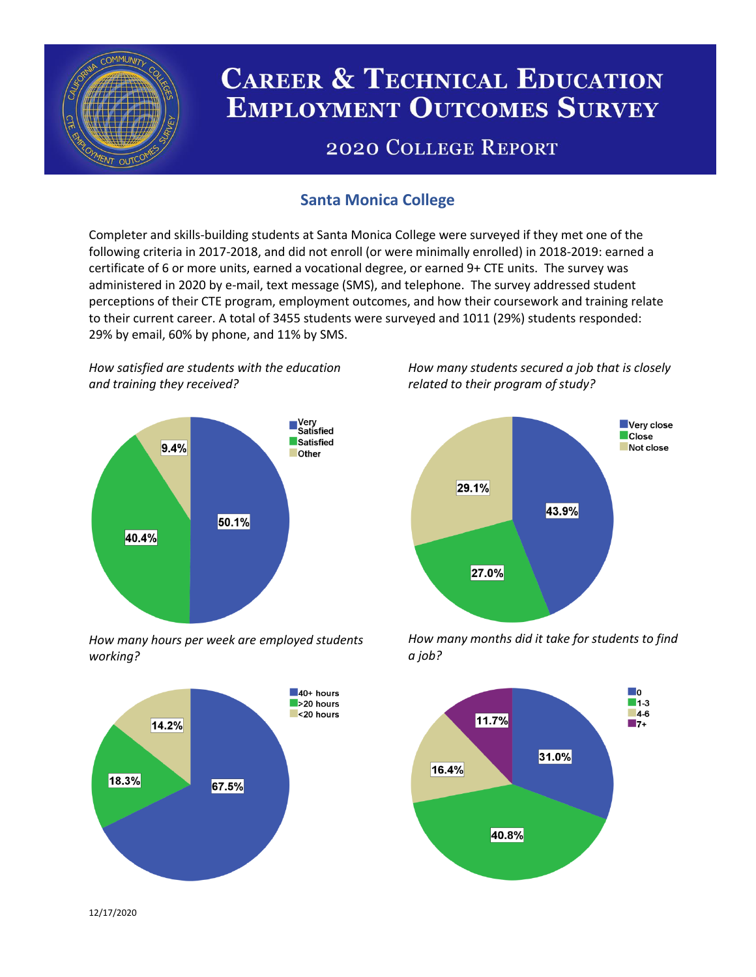

# **CAREER & TECHNICAL EDUCATION EMPLOYMENT OUTCOMES SURVEY**

## **2020 COLLEGE REPORT**

## **Santa Monica College**

Completer and skills-building students at Santa Monica College were surveyed if they met one of the following criteria in 2017-2018, and did not enroll (or were minimally enrolled) in 2018-2019: earned a certificate of 6 or more units, earned a vocational degree, or earned 9+ CTE units. The survey was administered in 2020 by e-mail, text message (SMS), and telephone. The survey addressed student perceptions of their CTE program, employment outcomes, and how their coursework and training relate to their current career. A total of 3455 students were surveyed and 1011 (29%) students responded: 29% by email, 60% by phone, and 11% by SMS.

*How satisfied are students with the education and training they received?*



*How many hours per week are employed students working?*



*How many students secured a job that is closely related to their program of study?*



*How many months did it take for students to find a job?*



12/17/2020